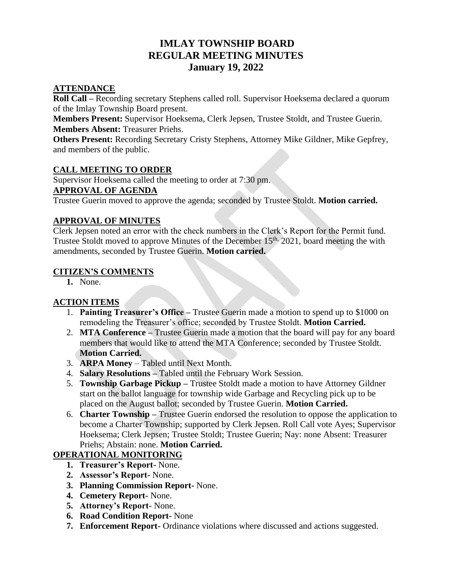# **IMLAY TOWNSHIP BOARD REGULAR MEETING MINUTES January 19, 2022**

# **ATTENDANCE**

**Roll Call –** Recording secretary Stephens called roll. Supervisor Hoeksema declared a quorum of the Imlay Township Board present.

**Members Present:** Supervisor Hoeksema, Clerk Jepsen, Trustee Stoldt, and Trustee Guerin. **Members Absent:** Treasurer Priehs.

**Others Present:** Recording Secretary Cristy Stephens, Attorney Mike Gildner, Mike Gepfrey, and members of the public.

#### **CALL MEETING TO ORDER**

Supervisor Hoeksema called the meeting to order at 7:30 pm.

### **APPROVAL OF AGENDA**

Trustee Guerin moved to approve the agenda; seconded by Trustee Stoldt. **Motion carried.**

#### **APPROVAL OF MINUTES**

Clerk Jepsen noted an error with the check numbers in the Clerk's Report for the Permit fund. Trustee Stoldt moved to approve Minutes of the December 15<sup>th,</sup> 2021, board meeting the with amendments, seconded by Trustee Guerin. **Motion carried.**

#### **CITIZEN'S COMMENTS**

**1.** None.

# **ACTION ITEMS**

- 1. **Painting Treasurer's Office –** Trustee Guerin made a motion to spend up to \$1000 on remodeling the Treasurer's office; seconded by Trustee Stoldt. **Motion Carried.**
- 2. **MTA Conference –** Trustee Guerin made a motion that the board will pay for any board members that would like to attend the MTA Conference; seconded by Trustee Stoldt. **Motion Carried.**
- 3. **ARPA Money** Tabled until Next Month.
- 4. **Salary Resolutions –** Tabled until the February Work Session.
- 5. **Township Garbage Pickup –** Trustee Stoldt made a motion to have Attorney Gildner start on the ballot language for township wide Garbage and Recycling pick up to be placed on the August ballot; seconded by Trustee Guerin. **Motion Carried.**
- 6. **Charter Township –** Trustee Guerin endorsed the resolution to oppose the application to become a Charter Township; supported by Clerk Jepsen. Roll Call vote Ayes; Supervisor Hoeksema; Clerk Jepsen; Trustee Stoldt; Trustee Guerin; Nay: none Absent: Treasurer Priehs; Abstain: none. **Motion Carried.**

# **OPERATIONAL MONITORING**

- **1. Treasurer's Report-** None.
- **2. Assessor's Report-** None.
- **3. Planning Commission Report-** None.
- **4. Cemetery Report-** None.
- **5. Attorney's Report-** None.
- **6. Road Condition Report-** None
- **7. Enforcement Report-** Ordinance violations where discussed and actions suggested.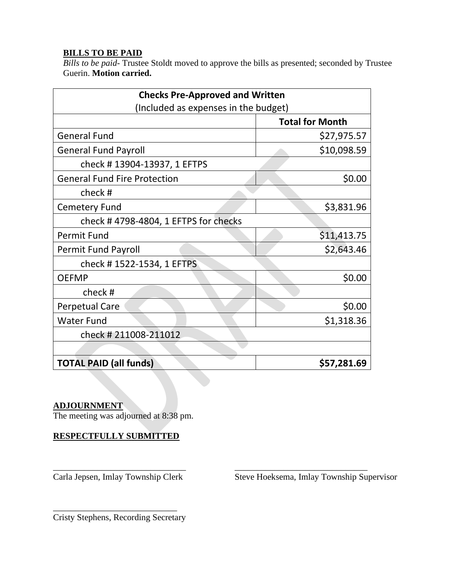# **BILLS TO BE PAID**

*Bills to be paid-* Trustee Stoldt moved to approve the bills as presented; seconded by Trustee Guerin. **Motion carried.**

| <b>Checks Pre-Approved and Written</b> |                        |
|----------------------------------------|------------------------|
| (Included as expenses in the budget)   |                        |
|                                        | <b>Total for Month</b> |
| <b>General Fund</b>                    | \$27,975.57            |
| <b>General Fund Payroll</b>            | \$10,098.59            |
| check #13904-13937, 1 EFTPS            |                        |
| <b>General Fund Fire Protection</b>    | \$0.00                 |
| check#                                 |                        |
| <b>Cemetery Fund</b>                   | \$3,831.96             |
| check #4798-4804, 1 EFTPS for checks   |                        |
| <b>Permit Fund</b>                     | \$11,413.75            |
| <b>Permit Fund Payroll</b>             | \$2,643.46             |
| check #1522-1534, 1 EFTPS              |                        |
| <b>OEFMP</b>                           | \$0.00                 |
| check#                                 |                        |
| <b>Perpetual Care</b>                  | \$0.00                 |
| <b>Water Fund</b>                      | \$1,318.36             |
| check #211008-211012                   |                        |
|                                        |                        |
| <b>TOTAL PAID (all funds)</b>          | \$57,281.69            |

#### **ADJOURNMENT**

The meeting was adjourned at 8:38 pm.

**RESPECTFULLY SUBMITTED**

\_\_\_\_\_\_\_\_\_\_\_\_\_\_\_\_\_\_\_\_\_\_\_\_\_\_\_\_\_\_ \_\_\_\_\_\_\_\_\_\_\_\_\_\_\_\_\_\_\_\_\_\_\_\_\_\_\_\_\_\_

Carla Jepsen, Imlay Township Clerk Steve Hoeksema, Imlay Township Supervisor

\_\_\_\_\_\_\_\_\_\_\_\_\_\_\_\_\_\_\_\_\_\_\_\_\_\_\_\_ Cristy Stephens, Recording Secretary